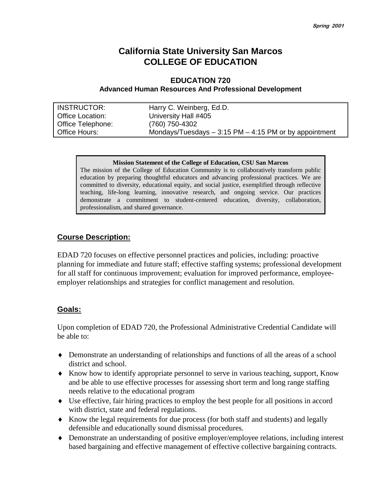## **California State University San Marcos COLLEGE OF EDUCATION**

### **EDUCATION 720 Advanced Human Resources And Professional Development**

| <b>INSTRUCTOR:</b>       | Harry C. Weinberg, Ed.D.                                 |
|--------------------------|----------------------------------------------------------|
| <b>Office Location:</b>  | University Hall #405                                     |
| <b>Office Telephone:</b> | (760) 750-4302                                           |
| Office Hours:            | Mondays/Tuesdays $-3:15$ PM $-4:15$ PM or by appointment |

#### **Mission Statement of the College of Education, CSU San Marcos**

The mission of the College of Education Community is to collaboratively transform public education by preparing thoughtful educators and advancing professional practices. We are committed to diversity, educational equity, and social justice, exemplified through reflective teaching, life-long learning, innovative research, and ongoing service. Our practices demonstrate a commitment to student-centered education, diversity, collaboration, professionalism, and shared governance.

#### **Course Description:**

EDAD 720 focuses on effective personnel practices and policies, including: proactive planning for immediate and future staff; effective staffing systems; professional development for all staff for continuous improvement; evaluation for improved performance, employeeemployer relationships and strategies for conflict management and resolution.

### **Goals:**

Upon completion of EDAD 720, the Professional Administrative Credential Candidate will be able to:

- ♦ Demonstrate an understanding of relationships and functions of all the areas of a school district and school.
- ♦ Know how to identify appropriate personnel to serve in various teaching, support, Know and be able to use effective processes for assessing short term and long range staffing needs relative to the educational program
- ♦ Use effective, fair hiring practices to employ the best people for all positions in accord with district, state and federal regulations.
- ♦ Know the legal requirements for due process (for both staff and students) and legally defensible and educationally sound dismissal procedures.
- ♦ Demonstrate an understanding of positive employer/employee relations, including interest based bargaining and effective management of effective collective bargaining contracts.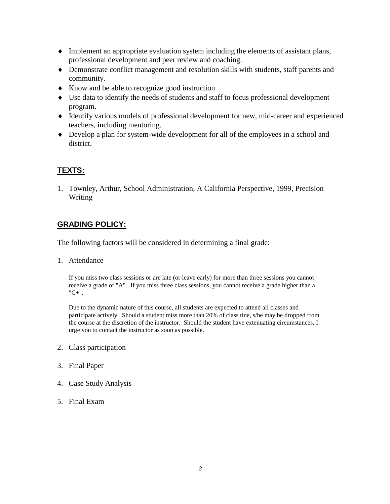- ♦ Implement an appropriate evaluation system including the elements of assistant plans, professional development and peer review and coaching.
- ♦ Demonstrate conflict management and resolution skills with students, staff parents and community.
- ♦ Know and be able to recognize good instruction.
- ♦ Use data to identify the needs of students and staff to focus professional development program.
- ♦ Identify various models of professional development for new, mid-career and experienced teachers, including mentoring.
- ♦ Develop a plan for system-wide development for all of the employees in a school and district.

## **TEXTS:**

1. Townley, Arthur, School Administration, A California Perspective, 1999, Precision Writing

## **GRADING POLICY:**

The following factors will be considered in determining a final grade:

1. Attendance

If you miss two class sessions or are late (or leave early) for more than three sessions you cannot receive a grade of "A". If you miss three class sessions, you cannot receive a grade higher than a "C+".

Due to the dynamic nature of this course, all students are expected to attend all classes and participate actively. Should a student miss more than 20% of class tine, s/he may be dropped from the course at the discretion of the instructor. Should the student have extenuating circumstances, I urge you to contact the instructor as soon as possible.

- 2. Class participation
- 3. Final Paper
- 4. Case Study Analysis
- 5. Final Exam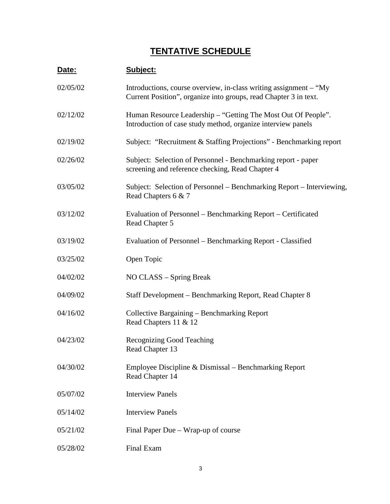# **TENTATIVE SCHEDULE**

| Date:    | Subject:                                                                                                                              |
|----------|---------------------------------------------------------------------------------------------------------------------------------------|
| 02/05/02 | Introductions, course overview, in-class writing assignment – "My<br>Current Position", organize into groups, read Chapter 3 in text. |
| 02/12/02 | Human Resource Leadership – "Getting The Most Out Of People".<br>Introduction of case study method, organize interview panels         |
| 02/19/02 | Subject: "Recruitment & Staffing Projections" - Benchmarking report                                                                   |
| 02/26/02 | Subject: Selection of Personnel - Benchmarking report - paper<br>screening and reference checking, Read Chapter 4                     |
| 03/05/02 | Subject: Selection of Personnel – Benchmarking Report – Interviewing,<br>Read Chapters 6 & 7                                          |
| 03/12/02 | Evaluation of Personnel – Benchmarking Report – Certificated<br>Read Chapter 5                                                        |
| 03/19/02 | Evaluation of Personnel – Benchmarking Report - Classified                                                                            |
| 03/25/02 | Open Topic                                                                                                                            |
| 04/02/02 | NO CLASS – Spring Break                                                                                                               |
| 04/09/02 | Staff Development – Benchmarking Report, Read Chapter 8                                                                               |
| 04/16/02 | Collective Bargaining - Benchmarking Report<br>Read Chapters 11 & 12                                                                  |
| 04/23/02 | <b>Recognizing Good Teaching</b><br>Read Chapter 13                                                                                   |
| 04/30/02 | Employee Discipline & Dismissal – Benchmarking Report<br>Read Chapter 14                                                              |
| 05/07/02 | <b>Interview Panels</b>                                                                                                               |
| 05/14/02 | <b>Interview Panels</b>                                                                                                               |
| 05/21/02 | Final Paper Due – Wrap-up of course                                                                                                   |
| 05/28/02 | Final Exam                                                                                                                            |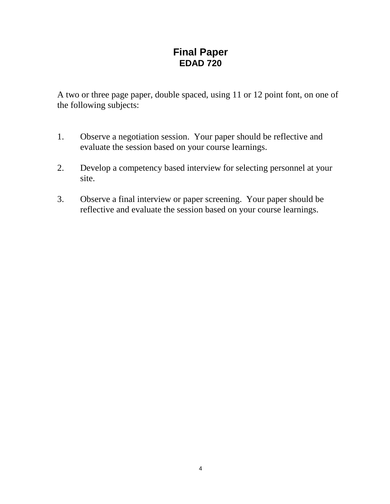## **Final Paper EDAD 720**

A two or three page paper, double spaced, using 11 or 12 point font, on one of the following subjects:

- 1. Observe a negotiation session. Your paper should be reflective and evaluate the session based on your course learnings.
- 2. Develop a competency based interview for selecting personnel at your site.
- 3. Observe a final interview or paper screening. Your paper should be reflective and evaluate the session based on your course learnings.